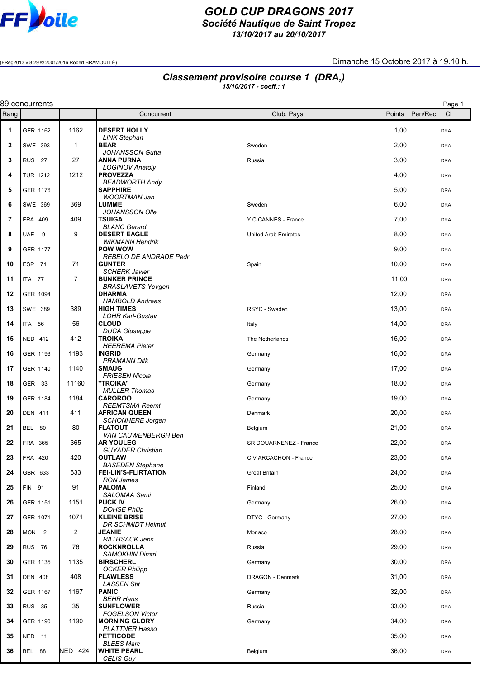

## *GOLD CUP DRAGONS 2017 Société Nautique de Saint Tropez*

*13/10/2017 au 20/10/2017*

(FReg2013 v.8.29 © 2001/2016 Robert BRAMOULLÉ) Dimanche 15 Octobre 2017 à 19.10 h.

## *Classement provisoire course 1 (DRA,) 15/10/2017 - coeff.: 1*

|              | 89 concurrents<br>Page 1 |                |                                                  |                             |        |         |            |  |  |
|--------------|--------------------------|----------------|--------------------------------------------------|-----------------------------|--------|---------|------------|--|--|
| Rang         |                          |                | Concurrent                                       | Club, Pays                  | Points | Pen/Rec | C1         |  |  |
| 1            | GER 1162                 | 1162           | <b>DESERT HOLLY</b><br>LINK Stephan              |                             | 1,00   |         | <b>DRA</b> |  |  |
| $\mathbf{2}$ | SWE 393                  | $\mathbf{1}$   | <b>BEAR</b><br><b>JOHANSSON Gutta</b>            | Sweden                      | 2,00   |         | <b>DRA</b> |  |  |
| 3            | <b>RUS</b> 27            | 27             | <b>ANNA PURNA</b><br><b>LOGINOV Anatoly</b>      | Russia                      | 3,00   |         | <b>DRA</b> |  |  |
| 4            | <b>TUR 1212</b>          | 1212           | <b>PROVEZZA</b><br><b>BEADWORTH Andy</b>         |                             | 4,00   |         | <b>DRA</b> |  |  |
| 5            | GER 1176                 |                | <b>SAPPHIRE</b><br><b>WOORTMAN Jan</b>           |                             | 5,00   |         | <b>DRA</b> |  |  |
| 6            | SWE 369                  | 369            | <b>LUMME</b><br><b>JOHANSSON Olle</b>            | Sweden                      | 6,00   |         | <b>DRA</b> |  |  |
| 7            | FRA 409                  | 409            | <b>TSUIGA</b><br><b>BLANC Gerard</b>             | Y C CANNES - France         | 7,00   |         | <b>DRA</b> |  |  |
| 8            | UAE <sub>9</sub>         | 9              | <b>DESERT EAGLE</b><br><b>WIKMANN Hendrik</b>    | <b>United Arab Emirates</b> | 8,00   |         | <b>DRA</b> |  |  |
| 9            | GER 1177                 |                | <b>POW WOW</b><br>REBELO DE ANDRADE Pedr         |                             | 9,00   |         | <b>DRA</b> |  |  |
| 10           | ESP 71                   | 71             | <b>GUNTER</b><br><b>SCHERK Javier</b>            | Spain                       | 10,00  |         | <b>DRA</b> |  |  |
| 11           | ITA 77                   | $\overline{7}$ | <b>BUNKER PRINCE</b><br><b>BRASLAVETS Yevgen</b> |                             | 11,00  |         | <b>DRA</b> |  |  |
| 12           | GER 1094                 |                | <b>DHARMA</b><br><b>HAMBOLD Andreas</b>          |                             | 12,00  |         | <b>DRA</b> |  |  |
| 13           | SWE 389                  | 389            | <b>HIGH TIMES</b><br><b>LOHR Karl-Gustav</b>     | RSYC - Sweden               | 13,00  |         | <b>DRA</b> |  |  |
| 14           | <b>ITA 56</b>            | 56             | <b>CLOUD</b><br><b>DUCA Giuseppe</b>             | Italy                       | 14,00  |         | <b>DRA</b> |  |  |
| 15           | <b>NED 412</b>           | 412            | TROIKA<br><b>HEEREMA Pieter</b>                  | The Netherlands             | 15,00  |         | <b>DRA</b> |  |  |
| 16           | GER 1193                 | 1193           | <b>INGRID</b><br><b>PRAMANN Ditk</b>             | Germany                     | 16,00  |         | <b>DRA</b> |  |  |
| 17           | GER 1140                 | 1140           | <b>SMAUG</b><br><b>FRIESEN Nicola</b>            | Germany                     | 17,00  |         | <b>DRA</b> |  |  |
| 18           | GER 33                   | 11160          | "TROIKA"<br><b>MULLER Thomas</b>                 | Germany                     | 18,00  |         | <b>DRA</b> |  |  |
| 19           | GER 1184                 | 1184           | <b>CAROROO</b><br><b>REEMTSMA Reemt</b>          | Germany                     | 19,00  |         | <b>DRA</b> |  |  |
| 20           | <b>DEN 411</b>           | 411            | AFRICAN QUEEN<br><b>SCHONHERE Jorgen</b>         | Denmark                     | 20,00  |         | <b>DRA</b> |  |  |
| 21           | BEL 80                   | 80             | <b>FLATOUT</b><br>VAN CAUWENBERGH Ben            | Belgium                     | 21,00  |         | <b>DRA</b> |  |  |
| 22           | FRA 365                  | 365            | <b>AR YOULEG</b><br><b>GUYADER Christian</b>     | SR DOUARNENEZ - France      | 22,00  |         | <b>DRA</b> |  |  |
| 23           | FRA 420                  | 420            | OUTLAW<br><b>BASEDEN Stephane</b>                | C V ARCACHON - France       | 23,00  |         | <b>DRA</b> |  |  |
| 24           | GBR 633                  | 633            | <b>FEI-LIN'S-FLIRTATION</b><br><b>RON James</b>  | <b>Great Britain</b>        | 24,00  |         | <b>DRA</b> |  |  |
| 25           | FIN 91                   | 91             | <b>PALOMA</b><br>SALOMAA Sami                    | Finland                     | 25,00  |         | <b>DRA</b> |  |  |
| 26           | GER 1151                 | 1151           | <b>PUCK IV</b><br><b>DOHSE Philip</b>            | Germany                     | 26,00  |         | <b>DRA</b> |  |  |
| 27           | GER 1071                 | 1071           | <b>KLEINE BRISE</b><br>DR SCHMIDT Helmut         | DTYC - Germany              | 27,00  |         | <b>DRA</b> |  |  |
| 28           | MON <sub>2</sub>         | $\overline{2}$ | <b>JEANIE</b><br><b>RATHSACK Jens</b>            | Monaco                      | 28,00  |         | <b>DRA</b> |  |  |
| 29           | <b>RUS 76</b>            | 76             | <b>ROCKNROLLA</b><br><b>SAMOKHIN Dimtri</b>      | Russia                      | 29,00  |         | <b>DRA</b> |  |  |
| 30           | GER 1135                 | 1135           | <b>BIRSCHERL</b><br><b>OCKER Philipp</b>         | Germany                     | 30,00  |         | <b>DRA</b> |  |  |
| 31           | <b>DEN 408</b>           | 408            | <b>FLAWLESS</b><br><b>LASSEN Stit</b>            | DRAGON - Denmark            | 31,00  |         | <b>DRA</b> |  |  |
| 32           | GER 1167                 | 1167           | <b>PANIC</b><br><b>BEHR Hans</b>                 | Germany                     | 32,00  |         | <b>DRA</b> |  |  |
| 33           | <b>RUS 35</b>            | 35             | <b>SUNFLOWER</b><br><b>FOGELSON Victor</b>       | Russia                      | 33,00  |         | <b>DRA</b> |  |  |
| 34           | GER 1190                 | 1190           | <b>MORNING GLORY</b><br><b>PLATTNER Hasso</b>    | Germany                     | 34,00  |         | <b>DRA</b> |  |  |
| 35           | NED 11                   |                | <b>PETTICODE</b><br><b>BLEES Marc</b>            |                             | 35,00  |         | <b>DRA</b> |  |  |
| 36           | BEL 88                   | <b>NED 424</b> | <b>WHITE PEARL</b><br>CELIS Guy                  | Belgium                     | 36,00  |         | <b>DRA</b> |  |  |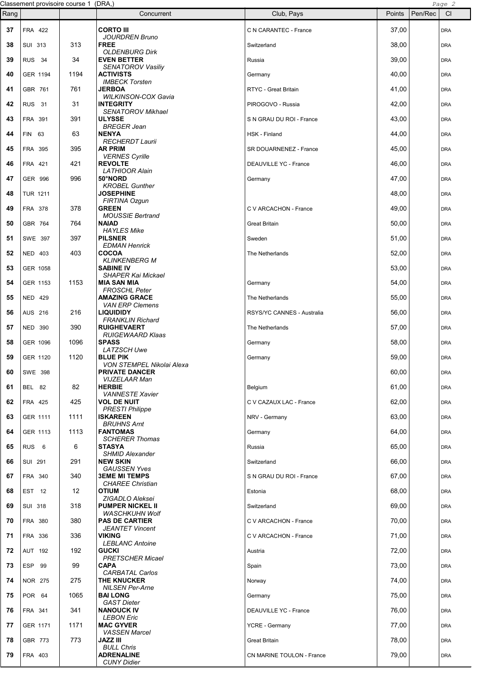|      |                  | Classement provisoire course 1 (DRA,) |                                                                         |                            |        |         | Page 2     |
|------|------------------|---------------------------------------|-------------------------------------------------------------------------|----------------------------|--------|---------|------------|
| Rang |                  |                                       | Concurrent                                                              | Club, Pays                 | Points | Pen/Rec | CI         |
| 37   | FRA 422          |                                       | <b>CORTO III</b><br><b>JOURDREN Bruno</b>                               | C N CARANTEC - France      | 37,00  |         | <b>DRA</b> |
| 38   | <b>SUI 313</b>   | 313                                   | <b>FREE</b>                                                             | Switzerland                | 38,00  |         | <b>DRA</b> |
| 39   | <b>RUS</b> 34    | 34                                    | <b>OLDENBURG Dirk</b><br><b>EVEN BETTER</b><br><b>SENATOROV Vasiliy</b> | Russia                     | 39,00  |         | <b>DRA</b> |
| 40   | GER 1194         | 1194                                  | <b>ACTIVISTS</b>                                                        | Germany                    | 40,00  |         | <b>DRA</b> |
| 41   | GBR 761          | 761                                   | <b>IMBECK Torsten</b><br><b>JERBOA</b>                                  | RTYC - Great Britain       | 41,00  |         | <b>DRA</b> |
| 42   | <b>RUS</b> 31    | 31                                    | <b>WILKINSON-COX Gavia</b><br><b>INTEGRITY</b>                          | PIROGOVO - Russia          | 42,00  |         | <b>DRA</b> |
| 43   | FRA 391          | 391                                   | <b>SENATOROV Mikhael</b><br><b>ULYSSE</b>                               | S N GRAU DU ROI - France   | 43,00  |         | <b>DRA</b> |
| 44   | FIN 63           | 63                                    | <b>BREGER Jean</b><br><b>NENYA</b>                                      | HSK - Finland              | 44,00  |         | <b>DRA</b> |
| 45   | FRA 395          | 395                                   | <b>RECHERDT Laurii</b><br><b>AR PRIM</b>                                | SR DOUARNENEZ - France     | 45,00  |         | <b>DRA</b> |
| 46   | FRA 421          | 421                                   | <b>VERNES Cyrille</b><br><b>REVOLTE</b>                                 | DEAUVILLE YC - France      | 46,00  |         | <b>DRA</b> |
| 47   | GER 996          | 996                                   | <b>LATHIOOR Alain</b><br>50°NORD                                        | Germany                    | 47,00  |         | <b>DRA</b> |
| 48   | <b>TUR 1211</b>  |                                       | <b>KROBEL Gunther</b><br><b>JOSEPHINE</b>                               |                            | 48,00  |         | <b>DRA</b> |
| 49   | FRA 378          | 378                                   | FIRTINA Ozgun<br><b>GREEN</b>                                           | C V ARCACHON - France      | 49,00  |         | <b>DRA</b> |
| 50   | GBR 764          | 764                                   | <b>MOUSSIE Bertrand</b><br><b>NAIAD</b>                                 | <b>Great Britain</b>       | 50,00  |         | <b>DRA</b> |
| 51   | SWE 397          | 397                                   | <b>HAYLES Mike</b><br><b>PILSNER</b>                                    | Sweden                     | 51,00  |         | <b>DRA</b> |
| 52   | <b>NED 403</b>   | 403                                   | <b>EDMAN Henrick</b><br><b>COCOA</b>                                    | The Netherlands            | 52,00  |         | <b>DRA</b> |
| 53   | GER 1058         |                                       | <b>KLINKENBERG M</b><br><b>SABINE IV</b>                                |                            | 53,00  |         | <b>DRA</b> |
| 54   | GER 1153         | 1153                                  | <b>SHAPER Kai Mickael</b><br><b>MIA SAN MIA</b>                         | Germany                    | 54,00  |         | <b>DRA</b> |
| 55   | <b>NED 429</b>   |                                       | <b>FROSCHL Peter</b><br><b>AMAZING GRACE</b>                            | The Netherlands            | 55,00  |         | <b>DRA</b> |
| 56   |                  | 216                                   | <b>VAN ERP Clemens</b><br><b>LIQUIDIDY</b>                              |                            | 56,00  |         |            |
|      | AUS 216          |                                       | <b>FRANKLIN Richard</b>                                                 | RSYS/YC CANNES - Australia |        |         | <b>DRA</b> |
| 57   | <b>NED 390</b>   | 390                                   | <b>RUIGHEVAERT</b><br>RUIGEWAARD Klaas                                  | The Netherlands            | 57,00  |         | <b>DRA</b> |
| 58   | GER 1096         | 1096                                  | <b>SPASS</b><br><b>LATZSCH Uwe</b>                                      | Germany                    | 58,00  |         | <b>DRA</b> |
| 59   | GER 1120         | 1120                                  | <b>BLUE PIK</b><br>VON STEMPEL Nikolai Alexa                            | Germany                    | 59,00  |         | <b>DRA</b> |
| 60   | SWE 398          |                                       | <b>PRIVATE DANCER</b><br>VIJZELAAR Man                                  |                            | 60,00  |         | <b>DRA</b> |
| 61   | <b>BEL 82</b>    | 82                                    | <b>HERBIE</b><br><b>VANNESTE Xavier</b>                                 | Belgium                    | 61,00  |         | <b>DRA</b> |
| 62   | FRA 425          | 425                                   | <b>VOL DE NUIT</b><br><b>PRESTI Philippe</b>                            | C V CAZAUX LAC - France    | 62,00  |         | <b>DRA</b> |
| 63   | GER 1111         | 1111                                  | <b>ISKAREEN</b><br><b>BRUHNS Arnt</b>                                   | NRV - Germany              | 63,00  |         | <b>DRA</b> |
| 64   | GER 1113         | 1113                                  | <b>FANTOMAS</b><br><b>SCHERER Thomas</b>                                | Germany                    | 64,00  |         | <b>DRA</b> |
| 65   | RUS <sub>6</sub> | 6                                     | <b>STASYA</b><br><b>SHMID Alexander</b>                                 | Russia                     | 65,00  |         | <b>DRA</b> |
| 66   | SUI 291          | 291                                   | <b>NEW SKIN</b><br><b>GAUSSEN Yves</b>                                  | Switzerland                | 66,00  |         | <b>DRA</b> |
| 67   | FRA 340          | 340                                   | <b>3EME MI TEMPS</b><br><b>CHAREE Christian</b>                         | S N GRAU DU ROI - France   | 67,00  |         | <b>DRA</b> |
| 68   | EST 12           | $12 \overline{ }$                     | <b>OTIUM</b><br>ZIGADLO Aleksei                                         | Estonia                    | 68,00  |         | <b>DRA</b> |
| 69   | SUI 318          | 318                                   | <b>PUMPER NICKEL II</b><br><b>WASCHKUHN Wolf</b>                        | Switzerland                | 69,00  |         | <b>DRA</b> |
| 70   | FRA 380          | 380                                   | <b>PAS DE CARTIER</b><br><b>JEANTET Vincent</b>                         | C V ARCACHON - France      | 70,00  |         | <b>DRA</b> |
| 71   | FRA 336          | 336                                   | <b>VIKING</b><br><b>LEBLANC Antoine</b>                                 | C V ARCACHON - France      | 71,00  |         | <b>DRA</b> |
| 72   | AUT 192          | 192                                   | <b>GUCKI</b><br><b>PRETSCHER Micael</b>                                 | Austria                    | 72,00  |         | <b>DRA</b> |
| 73   | ESP 99           | 99                                    | <b>CAPA</b><br><b>CARBATAL Carlos</b>                                   | Spain                      | 73,00  |         | <b>DRA</b> |
| 74   | <b>NOR 275</b>   | 275                                   | <b>THE KNUCKER</b>                                                      | Norway                     | 74,00  |         | <b>DRA</b> |
| 75   | POR 64           | 1065                                  | <b>NILSEN Per-Arne</b><br><b>BAI LONG</b>                               | Germany                    | 75,00  |         | <b>DRA</b> |
| 76   | FRA 341          | 341                                   | <b>GAST Dieter</b><br><b>NANOUCK IV</b>                                 | DEAUVILLE YC - France      | 76,00  |         | <b>DRA</b> |
| 77   | GER 1171         | 1171                                  | <b>LEBON Eric</b><br><b>MAC GYVER</b>                                   | YCRE - Germany             | 77,00  |         | <b>DRA</b> |
| 78   | GBR 773          | 773                                   | <b>VASSEN Marcel</b><br><b>JAZZ III</b>                                 | <b>Great Britain</b>       | 78,00  |         | <b>DRA</b> |
| 79   | FRA 403          |                                       | <b>BULL Chris</b><br><b>ADRENALINE</b>                                  | CN MARINE TOULON - France  | 79,00  |         | <b>DRA</b> |
|      |                  |                                       | <b>CUNY Didier</b>                                                      |                            |        |         |            |